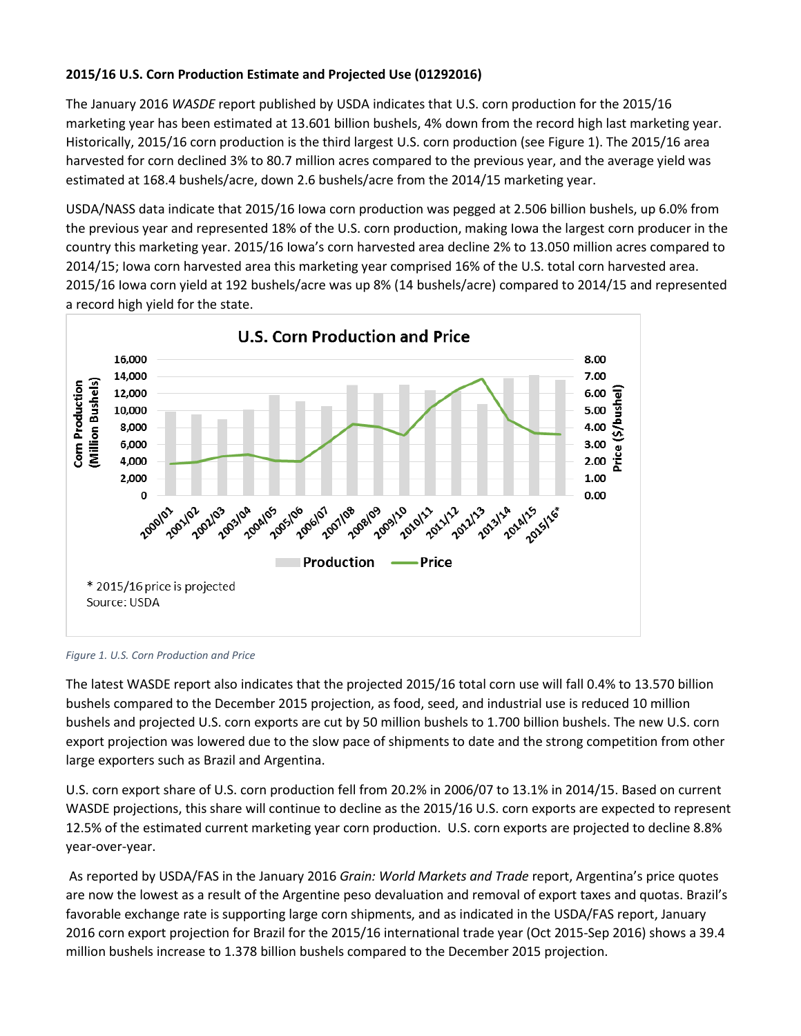## **2015/16 U.S. Corn Production Estimate and Projected Use (01292016)**

The January 2016 *WASDE* report published by USDA indicates that U.S. corn production for the 2015/16 marketing year has been estimated at 13.601 billion bushels, 4% down from the record high last marketing year. Historically, 2015/16 corn production is the third largest U.S. corn production (see [Figure 1\)](#page-0-0). The 2015/16 area harvested for corn declined 3% to 80.7 million acres compared to the previous year, and the average yield was estimated at 168.4 bushels/acre, down 2.6 bushels/acre from the 2014/15 marketing year.

USDA/NASS data indicate that 2015/16 Iowa corn production was pegged at 2.506 billion bushels, up 6.0% from the previous year and represented 18% of the U.S. corn production, making Iowa the largest corn producer in the country this marketing year. 2015/16 Iowa's corn harvested area decline 2% to 13.050 million acres compared to 2014/15; Iowa corn harvested area this marketing year comprised 16% of the U.S. total corn harvested area. 2015/16 Iowa corn yield at 192 bushels/acre was up 8% (14 bushels/acre) compared to 2014/15 and represented a record high yield for the state.



## <span id="page-0-0"></span>*Figure 1. U.S. Corn Production and Price*

The latest WASDE report also indicates that the projected 2015/16 total corn use will fall 0.4% to 13.570 billion bushels compared to the December 2015 projection, as food, seed, and industrial use is reduced 10 million bushels and projected U.S. corn exports are cut by 50 million bushels to 1.700 billion bushels. The new U.S. corn export projection was lowered due to the slow pace of shipments to date and the strong competition from other large exporters such as Brazil and Argentina.

U.S. corn export share of U.S. corn production fell from 20.2% in 2006/07 to 13.1% in 2014/15. Based on current WASDE projections, this share will continue to decline as the 2015/16 U.S. corn exports are expected to represent 12.5% of the estimated current marketing year corn production. U.S. corn exports are projected to decline 8.8% year-over-year.

As reported by USDA/FAS in the January 2016 *Grain: World Markets and Trade* report, Argentina's price quotes are now the lowest as a result of the Argentine peso devaluation and removal of export taxes and quotas. Brazil's favorable exchange rate is supporting large corn shipments, and as indicated in the USDA/FAS report, January 2016 corn export projection for Brazil for the 2015/16 international trade year (Oct 2015-Sep 2016) shows a 39.4 million bushels increase to 1.378 billion bushels compared to the December 2015 projection.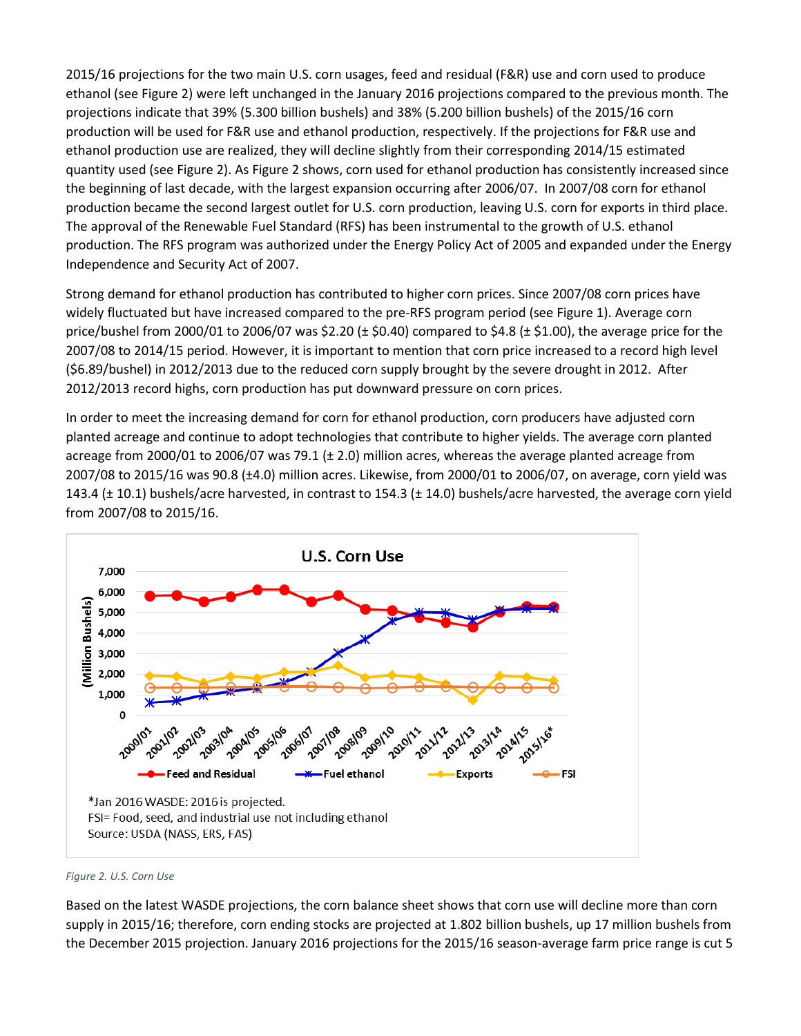2015/16 projections for the two main U.S. corn usages, feed and residual (F&R) use and corn used to produce ethanol (see [Figure 2\)](#page-1-0) were left unchanged in the January 2016 projections compared to the previous month. The projections indicate that 39% (5.300 billion bushels) and 38% (5.200 billion bushels) of the 2015/16 corn production will be used for F&R use and ethanol production, respectively. If the projections for F&R use and ethanol production use are realized, they will decline slightly from their corresponding 2014/15 estimated quantity used (see [Figure 2\)](#page-1-0). As [Figure 2](#page-1-0) shows, corn used for ethanol production has consistently increased since the beginning of last decade, with the largest expansion occurring after 2006/07. In 2007/08 corn for ethanol production became the second largest outlet for U.S. corn production, leaving U.S. corn for exports in third place. The approval of the Renewable Fuel Standard (RFS) has been instrumental to the growth of U.S. ethanol production. The RFS program was authorized under the Energy Policy Act of 2005 and expanded under the Energy Independence and Security Act of 2007.

Strong demand for ethanol production has contributed to higher corn prices. Since 2007/08 corn prices have widely fluctuated but have increased compared to the pre-RFS program period (see [Figure 1\)](#page-0-0). Average corn price/bushel from 2000/01 to 2006/07 was \$2.20 ( $\pm$  \$0.40) compared to \$4.8 ( $\pm$  \$1.00), the average price for the 2007/08 to 2014/15 period. However, it is important to mention that corn price increased to a record high level (\$6.89/bushel) in 2012/2013 due to the reduced corn supply brought by the severe drought in 2012. After 2012/2013 record highs, corn production has put downward pressure on corn prices.

In order to meet the increasing demand for corn for ethanol production, corn producers have adjusted corn planted acreage and continue to adopt technologies that contribute to higher yields. The average corn planted acreage from 2000/01 to 2006/07 was 79.1 (± 2.0) million acres, whereas the average planted acreage from 2007/08 to 2015/16 was 90.8 (±4.0) million acres. Likewise, from 2000/01 to 2006/07, on average, corn yield was 143.4 (± 10.1) bushels/acre harvested, in contrast to 154.3 (± 14.0) bushels/acre harvested, the average corn yield from 2007/08 to 2015/16.



<span id="page-1-0"></span>

Based on the latest WASDE projections, the corn balance sheet shows that corn use will decline more than corn supply in 2015/16; therefore, corn ending stocks are projected at 1.802 billion bushels, up 17 million bushels from the December 2015 projection. January 2016 projections for the 2015/16 season-average farm price range is cut 5